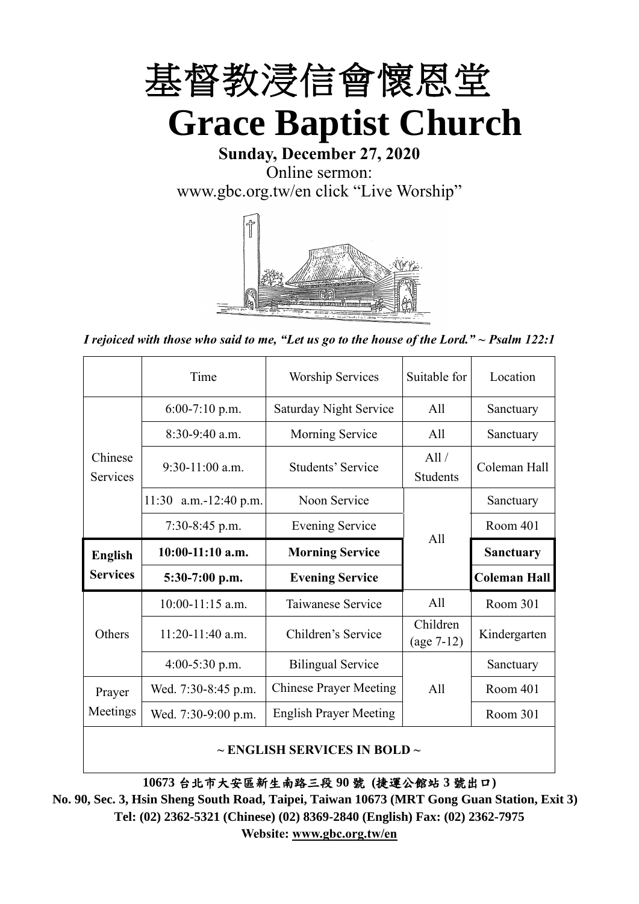

**Sunday, December 27, 2020** Online sermon:

[www.gbc.org.tw/en](http://www.gbc.org.tw/en) click "Live Worship"



*I rejoiced with those who said to me, "Let us go to the house of the Lord." ~ Psalm 122:1*

|                            | Time                  | <b>Worship Services</b>       | Suitable for             | Location            |
|----------------------------|-----------------------|-------------------------------|--------------------------|---------------------|
|                            | $6:00-7:10$ p.m.      | <b>Saturday Night Service</b> | A11                      | Sanctuary           |
|                            | $8:30-9:40$ a.m.      | Morning Service               | All                      | Sanctuary           |
| Chinese<br><b>Services</b> | $9:30-11:00$ a.m.     | Students' Service             | All /<br><b>Students</b> | Coleman Hall        |
|                            | 11:30 a.m.-12:40 p.m. | Noon Service                  |                          | Sanctuary           |
|                            | $7:30-8:45$ p.m.      | <b>Evening Service</b>        | All                      | Room 401            |
|                            |                       |                               |                          |                     |
| <b>English</b>             | $10:00-11:10$ a.m.    | <b>Morning Service</b>        |                          | <b>Sanctuary</b>    |
| <b>Services</b>            | 5:30-7:00 p.m.        | <b>Evening Service</b>        |                          | <b>Coleman Hall</b> |
|                            | $10:00-11:15$ a.m.    | Taiwanese Service             | A11                      | Room 301            |
| Others                     | $11:20-11:40$ a.m.    | Children's Service            | Children<br>$(age 7-12)$ | Kindergarten        |
|                            | $4:00-5:30$ p.m.      | <b>Bilingual Service</b>      |                          | Sanctuary           |
| Prayer                     | Wed. 7:30-8:45 p.m.   | <b>Chinese Prayer Meeting</b> | A11                      | Room 401            |
| Meetings                   | Wed. 7:30-9:00 p.m.   | <b>English Prayer Meeting</b> |                          | Room 301            |

#### **~ ENGLISH SERVICES IN BOLD ~**

**10673** 台北市大安區新生南路三段 **90** 號 **(**捷運公館站 **3** 號出口**)**

**No. 90, Sec. 3, Hsin Sheng South Road, Taipei, Taiwan 10673 (MRT Gong Guan Station, Exit 3) Tel: (02) 2362-5321 (Chinese) (02) 8369-2840 (English) Fax: (02) 2362-7975 Website: [www.gbc.org.tw/en](http://www.gbc.org.tw/en)**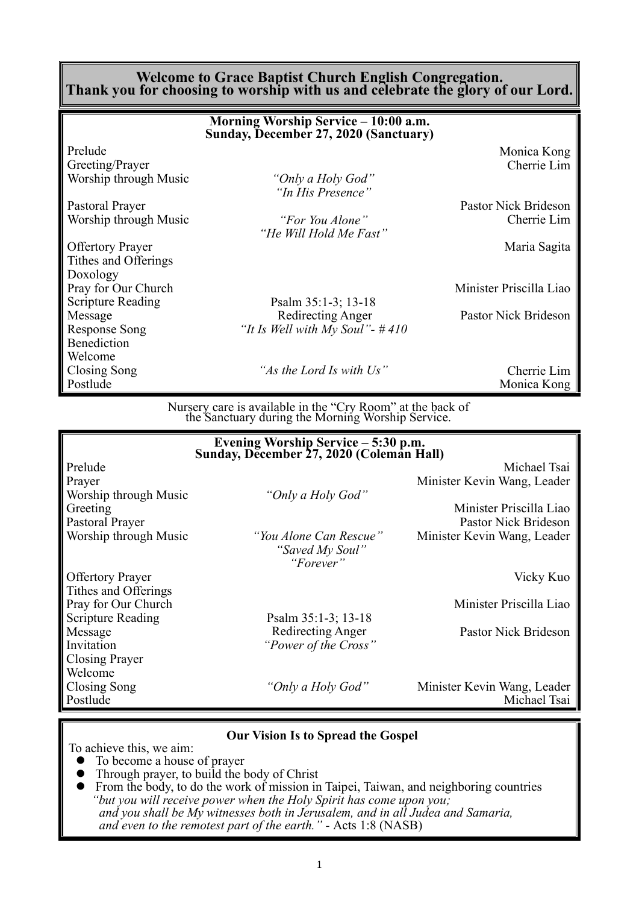#### **Welcome to Grace Baptist Church English Congregation. Thank you for choosing to worship with us and celebrate the glory of our Lord.**

|                          | Morning Worship Service – 10:00 a.m.<br>Sunday, December 27, 2020 (Sanctuary) |                         |
|--------------------------|-------------------------------------------------------------------------------|-------------------------|
| Prelude                  |                                                                               | Monica Kong             |
| Greeting/Prayer          |                                                                               | Cherrie Lim             |
| Worship through Music    | "Only a Holy God"<br>"In His Presence"                                        |                         |
| Pastoral Prayer          |                                                                               | Pastor Nick Brideson    |
| Worship through Music    | "For You Alone"<br>"He Will Hold Me Fast"                                     | Cherrie Lim             |
| <b>Offertory Prayer</b>  |                                                                               | Maria Sagita            |
| Tithes and Offerings     |                                                                               |                         |
| Doxology                 |                                                                               |                         |
| Pray for Our Church      |                                                                               | Minister Priscilla Liao |
| <b>Scripture Reading</b> | Psalm $35:1-3$ ; 13-18                                                        |                         |
| Message                  | Redirecting Anger                                                             | Pastor Nick Brideson    |
| <b>Response Song</b>     | "It Is Well with My Soul"- $#410$                                             |                         |
| Benediction              |                                                                               |                         |
| Welcome                  |                                                                               |                         |
| Closing Song             | "As the Lord Is with Us"                                                      | Cherrie Lim             |
| Postlude                 |                                                                               | Monica Kong             |

Nursery care is available in the "Cry Room" at the back of the Sanctuary during the Morning Worship Service.

|                          | Evening Worship Service – 5:30 p.m.<br>Sunday, December 27, 2020 (Coleman Hall) |                             |
|--------------------------|---------------------------------------------------------------------------------|-----------------------------|
| Prelude                  |                                                                                 | Michael Tsai                |
| Prayer                   |                                                                                 | Minister Kevin Wang, Leader |
| Worship through Music    | "Only a Holy God"                                                               |                             |
| Greeting                 |                                                                                 | Minister Priscilla Liao     |
| Pastoral Prayer          |                                                                                 | Pastor Nick Brideson        |
| Worship through Music    | "You Alone Can Rescue"<br>"Saved My Soul"<br>"Forever"                          | Minister Kevin Wang, Leader |
| <b>Offertory Prayer</b>  |                                                                                 | Vicky Kuo                   |
| Tithes and Offerings     |                                                                                 |                             |
| Pray for Our Church      |                                                                                 | Minister Priscilla Liao     |
| <b>Scripture Reading</b> | Psalm 35:1-3; 13-18                                                             |                             |
| Message                  | Redirecting Anger                                                               | Pastor Nick Brideson        |
| Invitation               | "Power of the Cross"                                                            |                             |
| Closing Prayer           |                                                                                 |                             |
| Welcome                  |                                                                                 |                             |
| Closing Song             | "Only a Holy God"                                                               | Minister Kevin Wang, Leader |
| Postlude                 |                                                                                 | Michael Tsai                |
|                          |                                                                                 |                             |

#### **Our Vision Is to Spread the Gospel**

To achieve this, we aim:

- ⚫ To become a house of prayer
- ⚫ Through prayer, to build the body of Christ
- ⚫ From the body, to do the work of mission in Taipei, Taiwan, and neighboring countries *"but you will receive power when the Holy Spirit has come upon you; and you shall be My witnesses both in Jerusalem, and in all Judea and Samaria, and even to the remotest part of the earth." -* Acts 1:8 (NASB)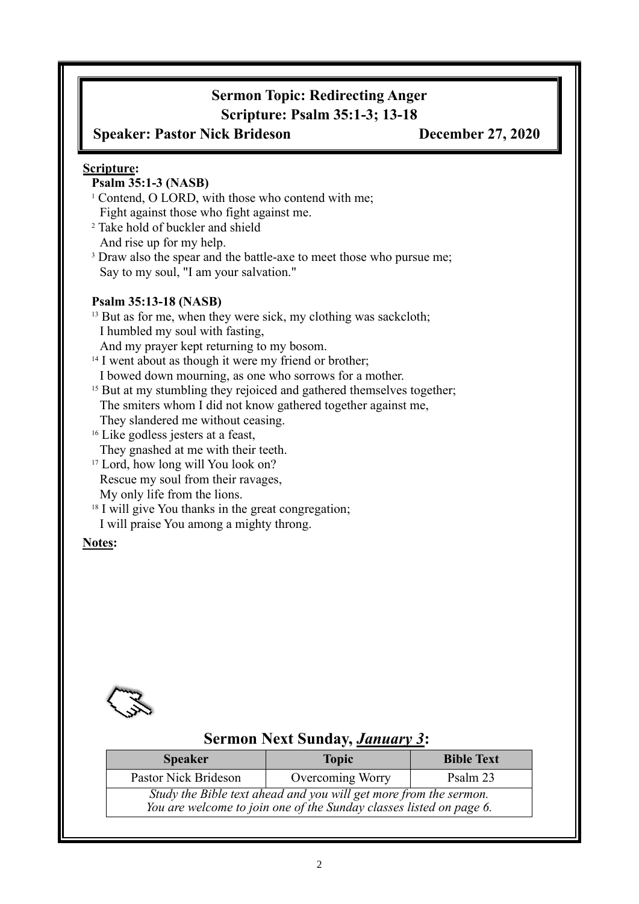# **Sermon Topic: Redirecting Anger Scripture: Psalm 35:1-3; 13-18**

**Speaker: Pastor Nick Brideson December 27, 2020**

#### **Scripture:**

## **Psalm 35:1-3 (NASB)**

- <sup>1</sup> Contend, O LORD, with those who contend with me; Fight against those who fight against me.
- <sup>2</sup> Take hold of buckler and shield And rise up for my help.
- <sup>3</sup> Draw also the spear and the battle-axe to meet those who pursue me; Say to my soul, "I am your salvation."

#### **Psalm 35:13-18 (NASB)**

- <sup>13</sup> But as for me, when they were sick, my clothing was sackcloth; I humbled my soul with fasting,
- And my prayer kept returning to my bosom.
- <sup>14</sup> I went about as though it were my friend or brother;
- I bowed down mourning, as one who sorrows for a mother.
- <sup>15</sup> But at my stumbling they rejoiced and gathered themselves together; The smiters whom I did not know gathered together against me, They slandered me without ceasing.
- <sup>16</sup> Like godless jesters at a feast,
- They gnashed at me with their teeth.
- <sup>17</sup> Lord, how long will You look on?
- Rescue my soul from their ravages,
- My only life from the lions.
- <sup>18</sup> I will give You thanks in the great congregation;
- I will praise You among a mighty throng.

#### **Notes:**



# **Sermon Next Sunday,** *January 3***:**

| <b>Speaker</b>                                                                                                                           | <b>Topic</b>     | <b>Bible Text</b> |  |  |  |  |
|------------------------------------------------------------------------------------------------------------------------------------------|------------------|-------------------|--|--|--|--|
| Pastor Nick Brideson                                                                                                                     | Overcoming Worry | Psalm 23          |  |  |  |  |
| Study the Bible text ahead and you will get more from the sermon.<br>You are welcome to join one of the Sunday classes listed on page 6. |                  |                   |  |  |  |  |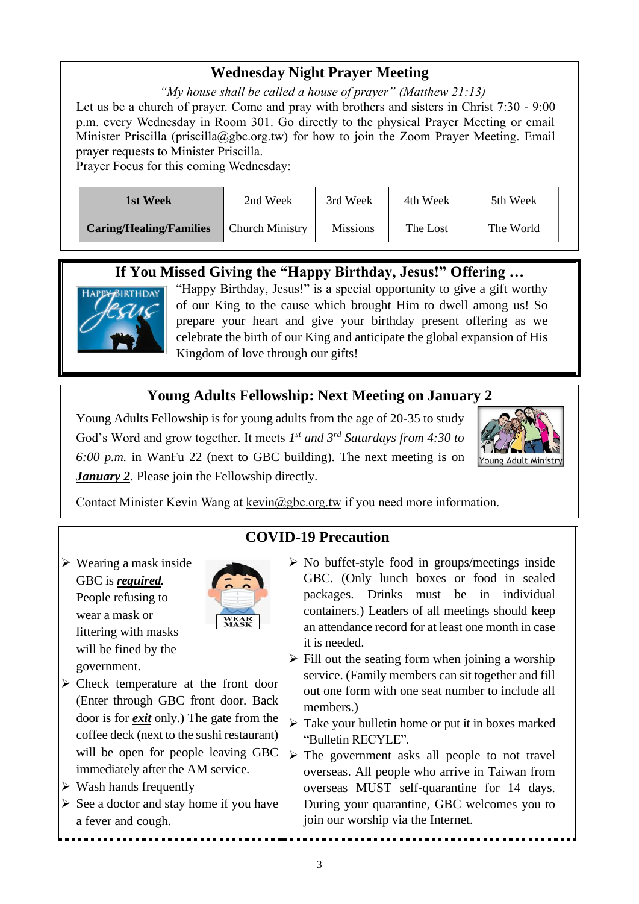## **Wednesday Night Prayer Meeting**

*"My house shall be called a house of prayer" (Matthew 21:13)* Let us be a church of prayer. Come and pray with brothers and sisters in Christ 7:30 - 9:00 p.m. every Wednesday in Room 301. Go directly to the physical Prayer Meeting or email Minister Priscilla (priscilla@gbc.org.tw) for how to join the Zoom Prayer Meeting. Email prayer requests to Minister Priscilla.

Prayer Focus for this coming Wednesday:

| 1st Week                       | 2nd Week               | 3rd Week        | 4th Week | 5th Week  |
|--------------------------------|------------------------|-----------------|----------|-----------|
| <b>Caring/Healing/Families</b> | <b>Church Ministry</b> | <b>Missions</b> | The Lost | The World |

## **If You Missed Giving the "Happy Birthday, Jesus!" Offering …**



"Happy Birthday, Jesus!" is a special opportunity to give a gift worthy of our King to the cause which brought Him to dwell among us! So prepare your heart and give your birthday present offering as we celebrate the birth of our King and anticipate the global expansion of His Kingdom of love through our gifts!

# **Young Adults Fellowship: Next Meeting on January 2**

Young Adults Fellowship is for young adults from the age of 20-35 to study God's Word and grow together. It meets  $I^{st}$  and  $3^{rd}$  Saturdays from 4:30 to *6:00 p.m.* in WanFu 22 (next to GBC building). The next meeting is on *January 2.* Please join the Fellowship directly.



Contact Minister Kevin Wang at kevin@gbc.org.tw if you need more information.

# **COVID-19 Precaution**

 $\triangleright$  Wearing a mask inside GBC is *required.* People refusing to wear a mask or littering with masks will be fined by the government.



- $\triangleright$  No buffet-style food in groups/meetings inside GBC. (Only lunch boxes or food in sealed packages. Drinks must be in individual containers.) Leaders of all meetings should keep an attendance record for at least one month in case it is needed.
- $\triangleright$  Fill out the seating form when joining a worship service. (Family members can sit together and fill out one form with one seat number to include all members.)
- ➢ Take your bulletin home or put it in boxes marked "Bulletin RECYLE".
- ➢ The government asks all people to not travel overseas. All people who arrive in Taiwan from overseas MUST self-quarantine for 14 days. During your quarantine, GBC welcomes you to join our worship via the Internet.
- ➢ Check temperature at the front door (Enter through GBC front door. Back door is for *exit* only.) The gate from the coffee deck (next to the sushi restaurant) will be open for people leaving GBC immediately after the AM service.
- $\triangleright$  Wash hands frequently
- $\triangleright$  See a doctor and stay home if you have a fever and cough.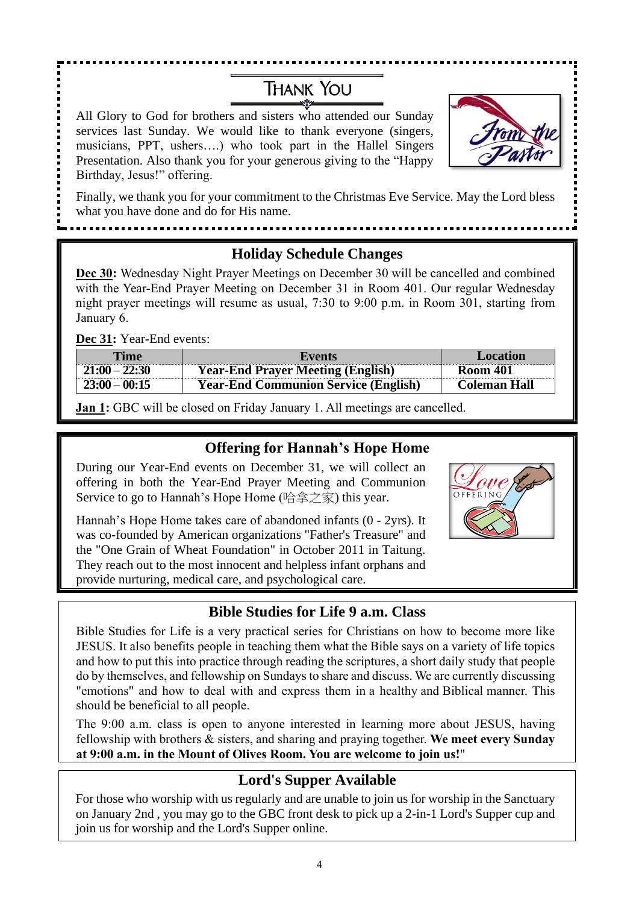# **THANK YOU**

All Glory to God for brothers and sisters who attended our Sunday services last Sunday. We would like to thank everyone (singers, musicians, PPT, ushers….) who took part in the Hallel Singers Presentation. Also thank you for your generous giving to the "Happy Birthday, Jesus!" offering.

. . . . . . . . . . . . . . .



Finally, we thank you for your commitment to the Christmas Eve Service. May the Lord bless what you have done and do for His name.

## **Holiday Schedule Changes**

**Dec 30:** Wednesday Night Prayer Meetings on December 30 will be cancelled and combined with the Year-End Prayer Meeting on December 31 in Room 401. Our regular Wednesday night prayer meetings will resume as usual, 7:30 to 9:00 p.m. in Room 301, starting from January 6.

**Dec 31:** Year-End events:

| Time            | Events                                      | Location            |
|-----------------|---------------------------------------------|---------------------|
| $21:00 - 22:30$ | <b>Year-End Prayer Meeting (English)</b>    | <b>Room 401</b>     |
| $23:00 - 00:15$ | <b>Year-End Communion Service (English)</b> | <b>Coleman Hall</b> |

**Jan 1:** GBC will be closed on Friday January 1. All meetings are cancelled.

## **Offering for Hannah's Hope Home**

During our Year-End events on December 31, we will collect an offering in both the Year-End Prayer Meeting and Communion Service to go to Hannah's Hope Home (哈拿之家) this year.

Hannah's Hope Home takes care of abandoned infants (0 - 2yrs). It was co-founded by American organizations "Father's Treasure" and the "One Grain of Wheat Foundation" in October 2011 in Taitung. They reach out to the most innocent and helpless infant orphans and provide nurturing, medical care, and psychological care.



## **Bible Studies for Life 9 a.m. Class**

Bible Studies for Life is a very practical series for Christians on how to become more like JESUS. It also benefits people in teaching them what the Bible says on a variety of life topics and how to put this into practice through reading the scriptures, a short daily study that people do by themselves, and fellowship on Sundays to share and discuss. We are currently discussing "emotions" and how to deal with and express them in a healthy and Biblical manner. This should be beneficial to all people.

The 9:00 a.m. class is open to anyone interested in learning more about JESUS, having fellowship with brothers & sisters, and sharing and praying together. **We meet every Sunday at 9:00 a.m. in the Mount of Olives Room. You are welcome to join us!**"

# **Lord's Supper Available**

For those who worship with us regularly and are unable to join us for worship in the Sanctuary on January 2nd , you may go to the GBC front desk to pick up a 2-in-1 Lord's Supper cup and join us for worship and the Lord's Supper online.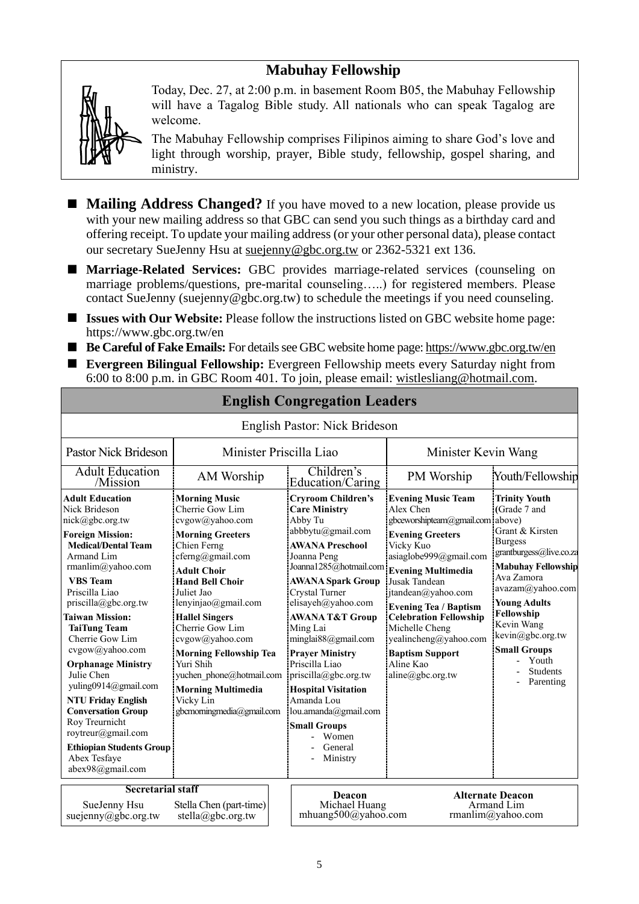# **Mabuhay Fellowship**



Today, Dec. 27, at 2:00 p.m. in basement Room B05, the Mabuhay Fellowship will have a Tagalog Bible study. All nationals who can speak Tagalog are welcome.

The Mabuhay Fellowship comprises Filipinos aiming to share God's love and light through worship, prayer, Bible study, fellowship, gospel sharing, and ministry.

- **Mailing Address Changed?** If you have moved to a new location, please provide us with your new mailing address so that GBC can send you such things as a birthday card and offering receipt. To update your mailing address (or your other personal data), please contact our secretary SueJenny Hsu at [suejenny@gbc.org.tw](mailto:suejenny@gbc.org.tw) or 2362-5321 ext 136.
- Marriage-Related Services: GBC provides marriage-related services (counseling on marriage problems/questions, pre-marital counseling…..) for registered members. Please contact SueJenny (suejenny@gbc.org.tw) to schedule the meetings if you need counseling.
- **Issues with Our Website:** Please follow the instructions listed on GBC website home page: https://www.gbc.org.tw/en
- **Be Careful of Fake Emails:** For details see GBC website home page[: https://www.gbc.org.tw/en](https://www.gbc.org.tw/en)
- **Evergreen Bilingual Fellowship:** Evergreen Fellowship meets every Saturday night from 6:00 to 8:00 p.m. in GBC Room 401. To join, please email: [wistlesliang@hotmail.com.](mailto:wistlesliang@hotmail.com)

|                                                                                                                                                                                                                                                                                                                                                                                                                                                                                                                                                                    |                                                                                                                                                                                                                                                                                                                                                                                                                                  | English Pastor: Nick Brideson                                                                                                                                                                                                                                                                                                                                                                                                                                                                                   |                                                                                                                                                                                                                                                                                                                                                                 |                                                                                                                                                                                                                                                                                                            |  |
|--------------------------------------------------------------------------------------------------------------------------------------------------------------------------------------------------------------------------------------------------------------------------------------------------------------------------------------------------------------------------------------------------------------------------------------------------------------------------------------------------------------------------------------------------------------------|----------------------------------------------------------------------------------------------------------------------------------------------------------------------------------------------------------------------------------------------------------------------------------------------------------------------------------------------------------------------------------------------------------------------------------|-----------------------------------------------------------------------------------------------------------------------------------------------------------------------------------------------------------------------------------------------------------------------------------------------------------------------------------------------------------------------------------------------------------------------------------------------------------------------------------------------------------------|-----------------------------------------------------------------------------------------------------------------------------------------------------------------------------------------------------------------------------------------------------------------------------------------------------------------------------------------------------------------|------------------------------------------------------------------------------------------------------------------------------------------------------------------------------------------------------------------------------------------------------------------------------------------------------------|--|
| Pastor Nick Brideson                                                                                                                                                                                                                                                                                                                                                                                                                                                                                                                                               | Minister Priscilla Liao                                                                                                                                                                                                                                                                                                                                                                                                          |                                                                                                                                                                                                                                                                                                                                                                                                                                                                                                                 | Minister Kevin Wang                                                                                                                                                                                                                                                                                                                                             |                                                                                                                                                                                                                                                                                                            |  |
| <b>Adult Education</b><br>/Mission                                                                                                                                                                                                                                                                                                                                                                                                                                                                                                                                 | AM Worship                                                                                                                                                                                                                                                                                                                                                                                                                       | Children's<br>Education/Caring                                                                                                                                                                                                                                                                                                                                                                                                                                                                                  | PM Worship                                                                                                                                                                                                                                                                                                                                                      | Youth/Fellowship                                                                                                                                                                                                                                                                                           |  |
| <b>Adult Education</b><br>Nick Brideson<br>nick@gbc.org.tw<br><b>Foreign Mission:</b><br><b>Medical/Dental Team</b><br>Armand Lim<br>rmanlim@yahoo.com<br><b>VBS</b> Team<br>Priscilla Liao<br>$priscilla(\partial gbc.org.tw)$<br><b>Taiwan Mission:</b><br><b>TaiTung Team</b><br>Cherrie Gow Lim<br>cvgow@yahoo.com<br><b>Orphanage Ministry</b><br>Julie Chen<br>yuling0914@gmail.com<br><b>NTU Friday English</b><br><b>Conversation Group</b><br>Roy Treurnicht<br>roytreur@gmail.com<br><b>Ethiopian Students Group</b><br>Abex Tesfaye<br>abex98@gmail.com | <b>Morning Music</b><br>Cherrie Gow Lim<br>cvgow@yahoo.com<br><b>Morning Greeters</b><br>Chien Ferng<br>$c$ ferng@gmail.com<br><b>Adult Choir</b><br><b>Hand Bell Choir</b><br>Juliet Jao<br>lenyinjao@gmail.com<br><b>Hallel Singers</b><br>Cherrie Gow Lim<br>cvgow@yahoo.com<br><b>Morning Fellowship Tea</b><br>Yuri Shih<br>yuchen phone@hotmail.com<br><b>Morning Multimedia</b><br>Vicky Lin<br>gbcmorningmedia@gmail.com | <b>Cryroom Children's</b><br><b>Care Ministry</b><br>Abby Tu<br>abbbytu@gmail.com<br><b>AWANA Preschool</b><br>Joanna Peng<br>Joanna1285@hotmail.com Evening Multimedia<br><b>AWANA Spark Group</b><br>Crystal Turner<br>elisayeh@yahoo.com<br><b>AWANA T&amp;T Group</b><br>Ming Lai<br>minglai $88$ @gmail.com<br><b>Prayer Ministry</b><br>Priscilla Liao<br>priscilla@gbc.org.tw<br><b>Hospital Visitation</b><br>Amanda Lou<br>lou.amanda@gmail.com<br><b>Small Groups</b><br>Women<br>General<br>Ministry | <b>Evening Music Team</b><br>Alex Chen<br>gbceworshipteam@gmail.com above)<br><b>Evening Greeters</b><br>Vicky Kuo<br>asiaglobe999@gmail.com<br>Jusak Tandean<br>jtandean@yahoo.com<br><b>Evening Tea / Baptism</b><br><b>Celebration Fellowship</b><br>Michelle Cheng<br>yealincheng@yahoo.com<br><b>Baptism Support</b><br>Aline Kao<br>$aline(a)$ gbc.org.tw | <b>Trinity Youth</b><br>(Grade 7 and<br>Grant & Kirsten<br><b>Burgess</b><br>grantburgess@live.co.za<br><b>Mabuhay Fellowship</b><br>Ava Zamora<br>avazam@yahoo.com<br><b>Young Adults</b><br>Fellowship<br>Kevin Wang<br>kevin@gbc.org.tw<br><b>Small Groups</b><br>Youth<br><b>Students</b><br>Parenting |  |
| <b>Secretarial staff</b><br>SueJenny Hsu<br>Stella Chen (part-time)<br>suejenny@gbc.org.tw<br>stella@gbc.org.tw                                                                                                                                                                                                                                                                                                                                                                                                                                                    |                                                                                                                                                                                                                                                                                                                                                                                                                                  | Deacon<br>Michael Huang<br>mhuang500@yahoo.com                                                                                                                                                                                                                                                                                                                                                                                                                                                                  |                                                                                                                                                                                                                                                                                                                                                                 | <b>Alternate Deacon</b><br>Armand Lim<br>rmanlim@yahoo.com                                                                                                                                                                                                                                                 |  |

#### **English Congregation Leaders**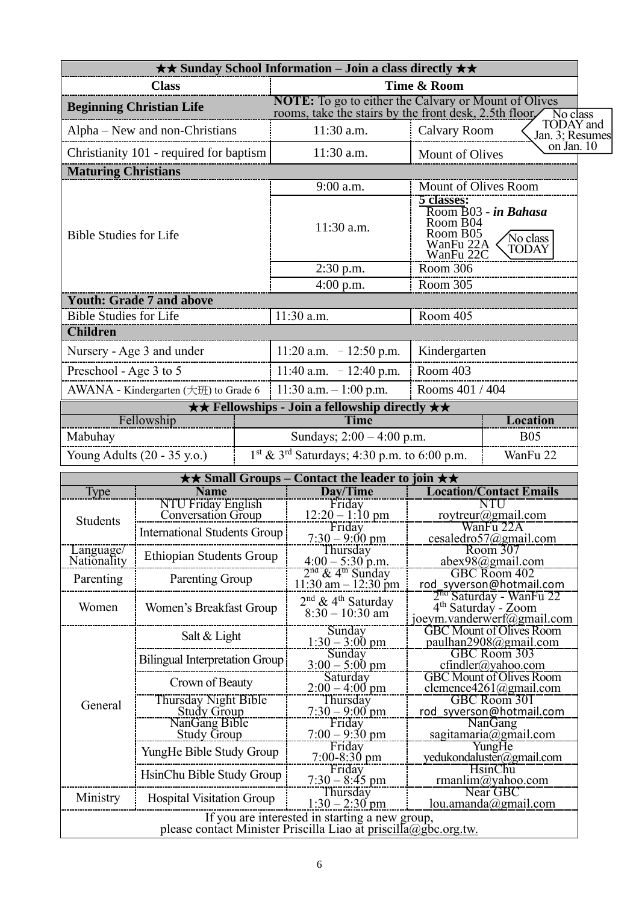|                                                  |                                                 |  | <b>★★ Sunday School Information – Join a class directly ★★</b>                                                       |                                                              |                                                                            |  |
|--------------------------------------------------|-------------------------------------------------|--|----------------------------------------------------------------------------------------------------------------------|--------------------------------------------------------------|----------------------------------------------------------------------------|--|
| <b>Class</b>                                     |                                                 |  | Time & Room                                                                                                          |                                                              |                                                                            |  |
| <b>Beginning Christian Life</b>                  |                                                 |  | <b>NOTE:</b> To go to either the Calvary or Mount of Olives<br>rooms, take the stairs by the front desk, 2.5th floor |                                                              | No class                                                                   |  |
| Alpha – New and non-Christians                   |                                                 |  | 11:30 a.m.                                                                                                           | <b>Calvary Room</b>                                          | <b>TODAY</b> and<br>Jan. 3; Resumes                                        |  |
|                                                  | Christianity 101 - required for baptism         |  | 11:30 a.m.                                                                                                           | Mount of Olives                                              | on Jan. 10                                                                 |  |
| <b>Maturing Christians</b>                       |                                                 |  |                                                                                                                      |                                                              |                                                                            |  |
|                                                  |                                                 |  | 9:00 a.m.                                                                                                            | Mount of Olives Room                                         |                                                                            |  |
| <b>Bible Studies for Life</b>                    |                                                 |  | 11:30 a.m.                                                                                                           | 5 classes:<br>Room B04<br>Room B05<br>WanFu 22A<br>WanFu 22C | Room B03 - in Bahasa<br>No class<br>TODAY                                  |  |
|                                                  |                                                 |  | $2:30$ p.m.                                                                                                          | Room 306                                                     |                                                                            |  |
|                                                  |                                                 |  | $4:00$ p.m.                                                                                                          | Room 305                                                     |                                                                            |  |
|                                                  | <b>Youth: Grade 7 and above</b>                 |  |                                                                                                                      |                                                              |                                                                            |  |
| <b>Bible Studies for Life</b><br><b>Children</b> |                                                 |  | 11:30 a.m.                                                                                                           | Room 405                                                     |                                                                            |  |
|                                                  |                                                 |  |                                                                                                                      |                                                              |                                                                            |  |
|                                                  | Nursery - Age 3 and under                       |  | $11:20$ a.m. $-12:50$ p.m.                                                                                           | Kindergarten                                                 |                                                                            |  |
| Preschool - Age 3 to 5                           |                                                 |  | 11:40 a.m. $-12:40$ p.m.                                                                                             | Room 403                                                     |                                                                            |  |
|                                                  | AWANA - Kindergarten (大班) to Grade 6            |  | 11:30 a.m. $-1:00$ p.m.                                                                                              | Rooms 401 / 404                                              |                                                                            |  |
|                                                  |                                                 |  | <b>★★ Fellowships - Join a fellowship directly ★★</b>                                                                |                                                              |                                                                            |  |
|                                                  | Fellowship                                      |  | <b>Time</b>                                                                                                          |                                                              | Location                                                                   |  |
| Mabuhay                                          |                                                 |  | Sundays; $2:00 - 4:00$ p.m.<br><b>B05</b>                                                                            |                                                              |                                                                            |  |
|                                                  | Young Adults (20 - 35 y.o.)                     |  | $1^{st}$ & $3^{rd}$ Saturdays; 4:30 p.m. to 6:00 p.m.                                                                |                                                              | WanFu 22                                                                   |  |
|                                                  |                                                 |  | $\star\star$ Small Groups – Contact the leader to join $\star\star$                                                  |                                                              |                                                                            |  |
| <b>Type</b>                                      | <b>Name</b>                                     |  | Day/Time                                                                                                             |                                                              | <b>Location/Contact Emails</b>                                             |  |
|                                                  | NTU Friday English<br><b>Conversation Group</b> |  | Friday<br>$12:20 - 1:10 \text{ pm}$                                                                                  |                                                              | NTU<br>roytreur@gmail.com                                                  |  |
| Students                                         | <b>International Students Group</b>             |  | Friday                                                                                                               |                                                              | WanFu 22A                                                                  |  |
| Language/                                        |                                                 |  | $7:30 - 9:00 \text{ pm}$<br>Thursday                                                                                 |                                                              | cesaledro57@gmail.com<br>Room 307                                          |  |
| Nationality                                      | <b>Ethiopian Students Group</b>                 |  | $4:00 - 5:30$ p.m.                                                                                                   |                                                              | abex98@gmail.com                                                           |  |
| Parenting                                        | Parenting Group                                 |  | $2nd$ & 4 <sup>th</sup> Sunday<br>$11:30$ am $-12:30$ pm                                                             |                                                              | <b>GBC Room 402</b><br>rod syverson@hotmail.com                            |  |
|                                                  |                                                 |  | $2nd$ & 4 <sup>th</sup> Saturday                                                                                     |                                                              | 2 <sup>na</sup> Saturday - WanFu 22                                        |  |
| Women                                            | Women's Breakfast Group                         |  | $8:30 - 10:30$ am                                                                                                    |                                                              | $\overline{4}$ <sup>th</sup> Saturday - Zoom<br>joeym.vanderwerf@gmail.com |  |
|                                                  |                                                 |  | Sunday                                                                                                               |                                                              | <b>GBC Mount of Olives Room</b>                                            |  |
|                                                  | Salt & Light                                    |  | $1:30 - 3:00$ pm                                                                                                     |                                                              | paulhan2908@gmail.com                                                      |  |
|                                                  | <b>Bilingual Interpretation Group</b>           |  | Sunday<br>$3:00 - 5:00$ pm                                                                                           |                                                              | <b>GBC Room 303</b><br>$cfindler(a)$ yahoo.com                             |  |
|                                                  | Crown of Beauty                                 |  | Saturday                                                                                                             |                                                              | <b>GBC Mount of Olives Room</b>                                            |  |
|                                                  | Thursday Night Bible                            |  | $2:00 - 4:00$ pm<br>Thursday                                                                                         | clemence4261@gmail.com<br>GBC Room 301                       |                                                                            |  |
| General                                          | <b>Study Group</b>                              |  | $7:30 - 9:00$ pm                                                                                                     | rod syverson@hotmail.com                                     |                                                                            |  |
|                                                  | NanGang Bible                                   |  | Friday                                                                                                               | <b>NanGang</b><br>sagitamaria@gmail.com                      |                                                                            |  |
|                                                  | <b>Study Group</b>                              |  | $7:00 - 9:30$ pm<br>Friday                                                                                           |                                                              | YungHe                                                                     |  |
|                                                  | YungHe Bible Study Group                        |  | $7:00 - 8:30$ pm                                                                                                     |                                                              | yedukondaluster@gmail.com                                                  |  |
|                                                  | HsinChu Bible Study Group                       |  | Friday                                                                                                               |                                                              | HsinChu                                                                    |  |
|                                                  |                                                 |  |                                                                                                                      |                                                              |                                                                            |  |
| Ministry                                         |                                                 |  | $7:30 - 8:45$ pm<br>Thursday                                                                                         |                                                              | rmanlim@yahoo.com<br>Near GBC                                              |  |
|                                                  | <b>Hospital Visitation Group</b>                |  | $1:30 - 2:30$ pm<br>If you are interested in starting a new group,                                                   |                                                              | lou. amanda@gmail.com                                                      |  |